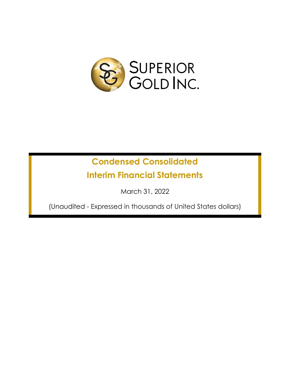

# **Condensed Consolidated**

**Interim Financial Statements**

March 31, 2022

(Unaudited - Expressed in thousands of United States dollars)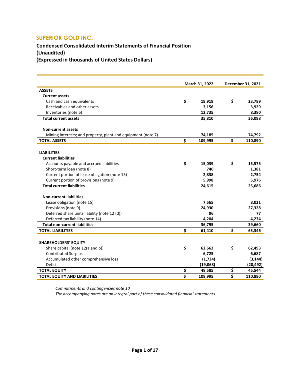## **Condensed Consolidated Interim Statements of Financial Position (Unaudited)**

**(Expressed in thousands of United States Dollars)**

|                                                              | March 31, 2022          |          | December 31, 2021 |
|--------------------------------------------------------------|-------------------------|----------|-------------------|
| <b>ASSETS</b>                                                |                         |          |                   |
| <b>Current assets</b>                                        |                         |          |                   |
| Cash and cash equivalents                                    | \$                      | 19,919   | \$<br>23,789      |
| Receivables and other assets                                 |                         | 3,156    | 3,929             |
| Inventories (note 6)                                         |                         | 12,735   | 8,380             |
| <b>Total current assets</b>                                  |                         | 35,810   | 36,098            |
|                                                              |                         |          |                   |
| <b>Non-current assets</b>                                    |                         |          |                   |
| Mining interests; and property, plant and equipment (note 7) |                         | 74,185   | 74,792            |
| <b>TOTAL ASSETS</b>                                          | \$                      | 109,995  | \$<br>110,890     |
|                                                              |                         |          |                   |
| <b>LIABILITIES</b>                                           |                         |          |                   |
| <b>Current liabilities</b>                                   |                         |          |                   |
| Accounts payable and accrued liabilities                     | \$                      | 15,039   | \$<br>15,575      |
| Short-term loan (note 8)                                     |                         | 740      | 1,381             |
| Current portion of lease obligation (note 15)                |                         | 2,838    | 2,754             |
| Current portion of provisions (note 9)                       |                         | 5,998    | 5,976             |
| <b>Total current liabilities</b>                             |                         | 24,615   | 25,686            |
| <b>Non-current liabilities</b>                               |                         |          |                   |
| Lease obligation (note 15)                                   |                         | 7,565    | 8,021             |
| Provisions (note 9)                                          |                         | 24,930   | 27,328            |
| Deferred share units liability (note 12 (d))                 |                         | 96       | 77                |
| Deferred tax liability (note 14)                             |                         | 4,204    | 4,234             |
| <b>Total non-current liabilities</b>                         |                         | 36,795   | 39,660            |
| <b>TOTAL LIABILITIES</b>                                     | \$                      | 61,410   | \$<br>65,346      |
|                                                              |                         |          |                   |
| <b>SHAREHOLDERS' EQUITY</b>                                  |                         |          |                   |
| Share capital (note 12(a and b))                             | \$                      | 62,662   | \$<br>62,493      |
| <b>Contributed Surplus</b>                                   |                         | 6,725    | 6,687             |
| Accumulated other comprehensive loss                         |                         | (1,734)  | (3, 144)          |
| Deficit                                                      |                         | (19,068) | (20, 492)         |
| <b>TOTAL EQUITY</b>                                          | \$                      | 48,585   | \$<br>45,544      |
| <b>TOTAL EQUITY AND LIABILITIES</b>                          | $\overline{\mathsf{s}}$ | 109,995  | \$<br>110,890     |
|                                                              |                         |          |                   |

*Commitments and contingencies note 10*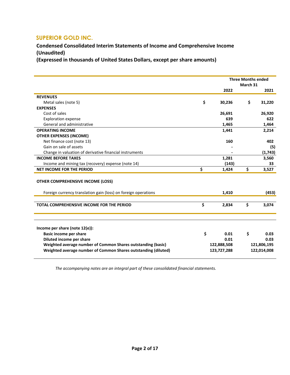**Condensed Consolidated Interim Statements of Income and Comprehensive Income (Unaudited)**

**(Expressed in thousands of United States Dollars, except per share amounts)**

|                                                                                                                                                                                                                        | <b>Three Months ended</b><br>March 31 |                                            |    |                                            |
|------------------------------------------------------------------------------------------------------------------------------------------------------------------------------------------------------------------------|---------------------------------------|--------------------------------------------|----|--------------------------------------------|
|                                                                                                                                                                                                                        |                                       | 2022                                       |    | 2021                                       |
| <b>REVENUES</b>                                                                                                                                                                                                        |                                       |                                            |    |                                            |
| Metal sales (note 5)                                                                                                                                                                                                   | \$                                    | 30,236                                     | \$ | 31,220                                     |
| <b>EXPENSES</b>                                                                                                                                                                                                        |                                       |                                            |    |                                            |
| Cost of sales                                                                                                                                                                                                          |                                       | 26,691                                     |    | 26,920                                     |
| <b>Exploration expense</b>                                                                                                                                                                                             |                                       | 639                                        |    | 622                                        |
| General and administrative                                                                                                                                                                                             |                                       | 1,465                                      |    | 1,464                                      |
| <b>OPERATING INCOME</b>                                                                                                                                                                                                |                                       | 1,441                                      |    | 2,214                                      |
| <b>OTHER EXPENSES (INCOME)</b>                                                                                                                                                                                         |                                       |                                            |    |                                            |
| Net finance cost (note 13)                                                                                                                                                                                             |                                       | 160                                        |    | 402                                        |
| Gain on sale of assets                                                                                                                                                                                                 |                                       |                                            |    | (5)                                        |
| Change in valuation of derivative financial instruments                                                                                                                                                                |                                       |                                            |    | (1,743)                                    |
| <b>INCOME BEFORE TAXES</b>                                                                                                                                                                                             |                                       | 1,281                                      |    | 3,560                                      |
| Income and mining tax (recovery) expense (note 14)                                                                                                                                                                     |                                       | (143)                                      |    | 33                                         |
| <b>NET INCOME FOR THE PERIOD</b>                                                                                                                                                                                       | \$                                    | 1,424                                      | \$ | 3,527                                      |
| <b>OTHER COMPREHENSIVE INCOME (LOSS)</b>                                                                                                                                                                               |                                       |                                            |    |                                            |
| Foreign currency translation gain (loss) on foreign operations                                                                                                                                                         |                                       | 1,410                                      |    | (453)                                      |
| <b>TOTAL COMPREHENSIVE INCOME FOR THE PERIOD</b>                                                                                                                                                                       | \$                                    | 2,834                                      | \$ | 3,074                                      |
| Income per share (note 12(e)):<br>Basic income per share<br>Diluted income per share<br>Weighted average number of Common Shares outstanding (basic)<br>Weighted average number of Common Shares outstanding (diluted) | \$                                    | 0.01<br>0.01<br>122,888,508<br>123,727,288 | \$ | 0.03<br>0.03<br>121,806,195<br>122,014,008 |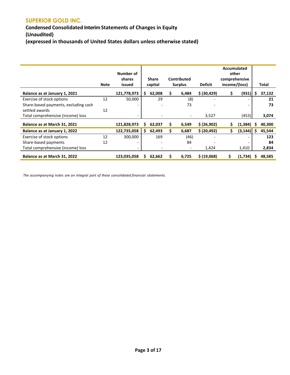## **Condensed Consolidated Interim Statements of Changes in Equity (Unaudited) (expressed in thousands of United States dollars unless otherwise stated)**

|                                      | <b>Note</b> | Number of<br>shares<br>issued | <b>Share</b><br>capital  |    | Contributed<br><b>Surplus</b> | <b>Deficit</b> | Accumulated<br>other<br>comprehensive<br>income/(loss) |               |    | <b>Total</b> |
|--------------------------------------|-------------|-------------------------------|--------------------------|----|-------------------------------|----------------|--------------------------------------------------------|---------------|----|--------------|
| Balance as at January 1, 2021        |             | 121,778,973                   | \$.<br>62,008            | \$ | 6,484                         | \$ (30, 429)   | \$                                                     | (931)         | Ś. | 37,132       |
| Exercise of stock options            | 12          | 50,000                        | 29                       |    | (8)                           |                |                                                        |               |    | 21           |
| Share-based payments, excluding cash |             | $\overline{\phantom{a}}$      |                          |    | 73                            |                |                                                        |               |    | 73           |
| settled awards                       | 12          |                               |                          |    |                               |                |                                                        |               |    |              |
| Total comprehensive (income) loss    |             | $\overline{\phantom{a}}$      | $\overline{\phantom{a}}$ |    | $\overline{\phantom{a}}$      | 3,527          |                                                        | (453)         |    | 3,074        |
| Balance as at March 31, 2021         |             | 121,828,973                   | 62,037<br>S              | \$ | 6,549                         | \$ (26,902)    | S                                                      | (1, 384)      | s  | 40,300       |
| Balance as at January 1, 2022        |             | 122,735,058                   | \$.<br>62,493            | Ś. | 6,687                         | \$ (20, 492)   | \$                                                     | $(3, 144)$ \$ |    | 45,544       |
| Exercise of stock options            | 12          | 300,000                       | 169                      |    | (46)                          |                |                                                        |               |    | 123          |
| Share-based payments                 | 12          | $\overline{\phantom{a}}$      |                          |    | 84                            |                |                                                        |               |    | 84           |
| Total comprehensive (income) loss    |             | $\overline{\phantom{0}}$      | $\overline{\phantom{a}}$ |    | $\overline{\phantom{a}}$      | 1,424          |                                                        | 1,410         |    | 2,834        |
| Balance as at March 31, 2022         |             | 123,035,058                   | 62,662<br>S              | s  | 6,725                         | \$ (19,068)    |                                                        | (1,734)       |    | 48,585       |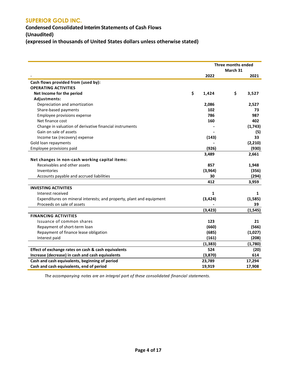**Condensed Consolidated Interim Statements of Cash Flows (Unaudited) (expressed in thousands of United States dollars unless otherwise stated)**

|                                                                      | Three months ended<br>March 31 |    |          |
|----------------------------------------------------------------------|--------------------------------|----|----------|
|                                                                      | 2022                           |    | 2021     |
| Cash flows provided from (used by):                                  |                                |    |          |
| <b>OPERATING ACTIVITIES</b>                                          |                                |    |          |
| Net Income for the period                                            | \$<br>1,424                    | \$ | 3,527    |
| Adjustments:                                                         |                                |    |          |
| Depreciation and amortization                                        | 2,086                          |    | 2,527    |
| Share-based payments                                                 | 102                            |    | 73       |
| Employee provisions expense                                          | 786                            |    | 987      |
| Net finance cost                                                     | 160                            |    | 402      |
| Change in valuation of derivative financial instruments              |                                |    | (1,743)  |
| Gain on sale of assets                                               |                                |    | (5)      |
| Income tax (recovery) expense                                        | (143)                          |    | 33       |
| Gold loan repayments                                                 |                                |    | (2,210)  |
| Employee provisions paid                                             | (926)                          |    | (930)    |
|                                                                      | 3,489                          |    | 2,661    |
| Net changes in non-cash working capital items:                       |                                |    |          |
| Receivables and other assets                                         | 857                            |    | 1,948    |
| Inventories                                                          | (3,964)                        |    | (356)    |
| Accounts payable and accrued liabilities                             | 30                             |    | (294)    |
|                                                                      | 412                            |    | 3,959    |
| <b>INVESTING ACTIVITIES</b>                                          |                                |    |          |
| Interest received                                                    | 1                              |    | 1        |
| Expenditures on mineral interests; and property, plant and equipment | (3, 424)                       |    | (1,585)  |
| Proceeds on sale of assets                                           |                                |    | 39       |
|                                                                      | (3, 423)                       |    | (1, 545) |
| <b>FINANCING ACTIVITIES</b>                                          |                                |    |          |
| Issuance of common shares                                            | 123                            |    | 21       |
| Repayment of short-term loan                                         | (660)                          |    | (566)    |
| Repayment of finance lease obligation                                | (685)                          |    | (1,027)  |
| Interest paid                                                        | (161)                          |    | (208)    |
|                                                                      | (1, 383)                       |    | (1,780)  |
| Effect of exchange rates on cash & cash equivalents                  | 524                            |    | (20)     |
| Increase (decrease) in cash and cash equivalents                     | (3,870)                        |    | 614      |
| Cash and cash equivalents, beginning of period                       | 23,789                         |    | 17,294   |
| Cash and cash equivalents, end of period                             | 19,919                         |    | 17,908   |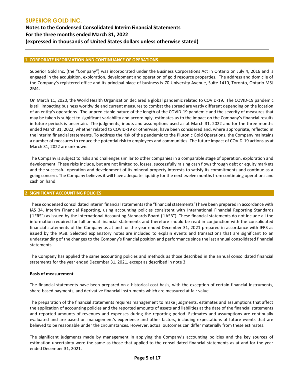## **SUPERIOR GOLD INC. Notes to the Condensed Consolidated Interim Financial Statements For the three months ended March 31, 2022 (expressed in thousands of United States dollars unless otherwise stated)**

## **1. CORPORATE INFORMATION AND CONTINUANCE OF OPERATIONS**

Superior Gold Inc. (the "Company") was incorporated under the Business Corporations Act in Ontario on July 4, 2016 and is engaged in the acquisition, exploration, development and operation of gold resource properties. The address and domicile of the Company's registered office and its principal place of business is 70 University Avenue, Suite 1410, Toronto, Ontario M5J 2M4.

On March 11, 2020, the World Health Organization declared a global pandemic related to COVID-19. The COVID-19 pandemic is still impacting business worldwide and current measures to combat the spread are vastly different depending on the location of an entity's operations. The unpredictable nature of the length of the COVID-19 pandemic and the severity of measures that may be taken is subject to significant variability and accordingly, estimates as to the impact on the Company's financial results in future periods is uncertain. The judgments, inputs and assumptions used as at March 31, 2022 and for the three months ended March 31, 2022, whether related to COVID-19 or otherwise, have been considered and, where appropriate, reflected in the interim financial statements. To address the risk of the pandemic to the Plutonic Gold Operations, the Company maintains a number of measures to reduce the potential risk to employees and communities. The future impact of COVID-19 actions as at March 31, 2022 are unknown.

The Company is subject to risks and challenges similar to other companies in a comparable stage of operation, exploration and development. These risks include, but are not limited to, losses, successfully raising cash flows through debt or equity markets and the successful operation and development of its mineral property interests to satisfy its commitments and continue as a going concern. The Company believes it will have adequate liquidity for the next twelve months from continuing operations and cash on hand.

#### **2. SIGNIFICANT ACCOUNTING POLICIES**

These condensed consolidated interim financial statements (the "financial statements") have been prepared in accordance with IAS 34, Interim Financial Reporting, using accounting policies consistent with International Financial Reporting Standards ("IFRS") as issued by the International Accounting Standards Board ("IASB"). These financial statements do not include all the information required for full annual financial statements and therefore should be read in conjunction with the consolidated financial statements of the Company as at and for the year ended December 31, 2021 prepared in accordance with IFRS as issued by the IASB. Selected explanatory notes are included to explain events and transactions that are significant to an understanding of the changes to the Company's financial position and performance since the last annual consolidated financial statements.

The Company has applied the same accounting policies and methods as those described in the annual consolidated financial statements for the year ended December 31, 2021, except as described in note 3.

#### **Basis of measurement**

The financial statements have been prepared on a historical cost basis, with the exception of certain financial instruments, share-based payments, and derivative financial instruments which are measured at fair value.

The preparation of the financial statements requires management to make judgments, estimates and assumptions that affect the application of accounting policies and the reported amounts of assets and liabilities at the date of the financial statements and reported amounts of revenues and expenses during the reporting period. Estimates and assumptions are continually evaluated and are based on management's experience and other factors, including expectations of future events that are believed to be reasonable under the circumstances. However, actual outcomes can differ materially from these estimates.

The significant judgments made by management in applying the Company's accounting policies and the key sources of estimation uncertainty were the same as those that applied to the consolidated financial statements as at and for the year ended December 31, 2021.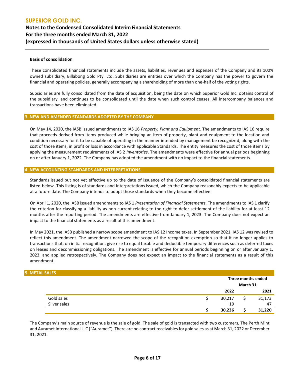#### **Basis of consolidation**

These consolidated financial statements include the assets, liabilities, revenues and expenses of the Company and its 100% owned subsidiary, Billabong Gold Pty. Ltd. Subsidiaries are entities over which the Company has the power to govern the financial and operating policies, generally accompanying a shareholding of more than one-half of the voting rights.

Subsidiaries are fully consolidated from the date of acquisition, being the date on which Superior Gold Inc. obtains control of the subsidiary, and continues to be consolidated until the date when such control ceases. All intercompany balances and transactions have been eliminated.

#### **3. NEW AND AMENDED STANDARDS ADOPTED BY THE COMPANY**

On May 14, 2020, the IASB issued amendments to IAS 16 *Property, Plant and Equipment*. The amendments to IAS 16 require that proceeds derived from items produced while bringing an item of property, plant and equipment to the location and condition necessary for it to be capable of operating in the manner intended by management be recognized, along with the cost of those items, in profit or loss in accordance with applicable Standards. The entity measures the cost of those items by applying the measurement requirements of IAS 2 *Inventories*. The amendments were effective for annual periods beginning on or after January 1, 2022. The Company has adopted the amendment with no impact to the financial statements.

#### **4. NEW ACCOUNTING STANDARDS AND INTERPRETATIONS**

Standards issued but not yet effective up to the date of issuance of the Company's consolidated financial statements are listed below. This listing is of standards and interpretations issued, which the Company reasonably expects to be applicable at a future date. The Company intends to adopt those standards when they become effective:

On April 1, 2020, the IASB issued amendments to IAS 1 *Presentation of Financial Statements*. The amendments to IAS 1 clarify the criterion for classifying a liability as non-current relating to the right to defer settlement of the liability for at least 12 months after the reporting period. The amendments are effective from January 1, 2023. The Company does not expect an impact to the financial statements as a result of this amendment.

In May 2021, the IASB published a narrow scope amendment to IAS 12 Income taxes. In September 2021, IAS 12 was revised to reflect this amendment. The amendment narrowed the scope of the recognition exemption so that it no longer applies to transactions that, on initial recognition, give rise to equal taxable and deductible temporary differences such as deferred taxes on leases and decommissioning obligations. The amendment is effective for annual periods beginning on or after January 1, 2023, and applied retrospectively. The Company does not expect an impact to the financial statements as a result of this amendment .

#### **5. METAL SALE**

| <u>L JALLJ</u> |                    |  |        |  |
|----------------|--------------------|--|--------|--|
|                | Three months ended |  |        |  |
|                | March 31           |  |        |  |
|                | 2022               |  | 2021   |  |
| Gold sales     | 30,217             |  | 31,173 |  |
| Silver sales   | 19                 |  | 47     |  |
|                | 30,236             |  | 31,220 |  |

The Company's main source of revenue is the sale of gold. The sale of gold is transacted with two customers, The Perth Mint and Auramet International LLC ("Auramet"). There are no contract receivables for gold sales as at March 31, 2022 or December 31, 2021.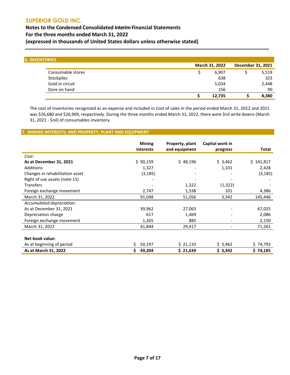**Notes to the Condensed Consolidated Interim Financial Statements For the three months ended March 31, 2022 (expressed in thousands of United States dollars unless otherwise stated)**

| <b>6. INVENTORIES</b> |                |        |                   |       |
|-----------------------|----------------|--------|-------------------|-------|
|                       | March 31, 2022 |        | December 31, 2021 |       |
| Consumable stores     |                | 6,907  |                   | 5,519 |
| Stockpiles            |                | 638    |                   | 323   |
| Gold in circuit       |                | 5,034  |                   | 2,448 |
| Dore on hand          |                | 156    |                   | 90    |
|                       |                | 12,735 |                   | 8,380 |

The cost of inventories recognized as an expense and included in Cost of sales in the period ended March 31, 2022 and 2021 was \$26,680 and \$26,909, respectively. During the three months ended March 31, 2022, there were \$nil write downs (March 31, 2021 - \$nil) of consumables inventory.

## **7. MINING INTERESTS; AND PROPERTY, PLANT AND EQUIPMENT**

|                                 | <b>Mining</b><br><i>interests</i> | Property, plant<br>and equipment | Capital work in<br>progress | Total     |
|---------------------------------|-----------------------------------|----------------------------------|-----------------------------|-----------|
| Cost:                           |                                   |                                  |                             |           |
| As at December 31, 2021         | \$90,159                          | \$48,196                         | \$3,462                     | \$141,817 |
| Additions                       | 1,327                             |                                  | 1,101                       | 2,428     |
| Changes in rehabilitation asset | (3, 185)                          |                                  |                             | (3, 185)  |
| Right of use assets (note 15)   |                                   |                                  |                             |           |
| <b>Transfers</b>                |                                   | 1,322                            | (1, 322)                    |           |
| Foreign exchange movement       | 2,747                             | 1,538                            | 101                         | 4,386     |
| March 31, 2022                  | 91,048                            | 51,056                           | 3,342                       | 145,446   |
| Accumulated depreciation:       |                                   |                                  |                             |           |
| As at December 31, 2021         | 39,962                            | 27,063                           |                             | 67,025    |
| Depreciation charge             | 617                               | 1,469                            |                             | 2,086     |
| Foreign exchange movement       | 1,265                             | 885                              |                             | 2,150     |
| March 31, 2022                  | 41,844                            | 29,417                           | $\overline{\phantom{a}}$    | 71,261    |
|                                 |                                   |                                  |                             |           |
| Net book value:                 |                                   |                                  |                             |           |
| As at beginning of period       | \$<br>50,197                      | \$21,133                         | \$3,462                     | \$74,792  |
| As at March 31, 2022            | \$<br>49,204                      | \$21,639                         | \$3,342                     | \$74,185  |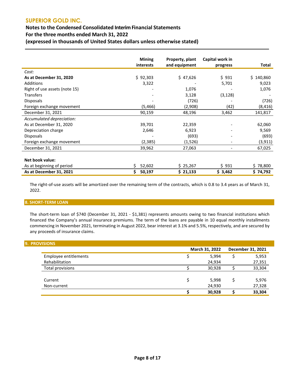## **Notes to the Condensed Consolidated Interim Financial Statements**

**For the three months ended March 31, 2022**

**(expressed in thousands of United States dollars unless otherwise stated)**

|                               | <b>Mining</b> | Property, plant | Capital work in          |              |
|-------------------------------|---------------|-----------------|--------------------------|--------------|
|                               | interests     | and equipment   | progress                 | <b>Total</b> |
| Cost:                         |               |                 |                          |              |
| As at December 31, 2020       | \$92,303      | \$47,626        | \$931                    | \$140,860    |
| Additions                     | 3,322         |                 | 5,701                    | 9,023        |
| Right of use assets (note 15) |               | 1,076           |                          | 1,076        |
| <b>Transfers</b>              |               | 3,128           | (3, 128)                 |              |
| <b>Disposals</b>              |               | (726)           |                          | (726)        |
| Foreign exchange movement     | (5,466)       | (2,908)         | (42)                     | (8, 416)     |
| December 31, 2021             | 90,159        | 48,196          | 3,462                    | 141,817      |
| Accumulated depreciation:     |               |                 |                          |              |
| As at December 31, 2020       | 39,701        | 22,359          |                          | 62,060       |
| Depreciation charge           | 2,646         | 6,923           |                          | 9,569        |
| <b>Disposals</b>              |               | (693)           |                          | (693)        |
| Foreign exchange movement     | (2, 385)      | (1,526)         |                          | (3, 911)     |
| December 31, 2021             | 39,962        | 27,063          | $\overline{\phantom{a}}$ | 67,025       |
|                               |               |                 |                          |              |
| Net book value:               |               |                 |                          |              |
| As at beginning of period     | \$<br>52,602  | \$25,267        | \$931                    | \$78,800     |
| As at December 31, 2021       | \$<br>50,197  | \$21,133        | \$3,462                  | \$74,792     |

The right-of-use assets will be amortized over the remaining term of the contracts, which is 0.8 to 3.4 years as of March 31, 2022.

#### **8. SHORT-TERM LOAN**

The short-term loan of \$740 (December 31, 2021 - \$1,381) represents amounts owing to two financial institutions which financed the Company's annual insurance premiums. The term of the loans are payable in 10 equal monthly installments commencing in November 2021, terminating in August 2022, bear interest at 3.1% and 5.5%, respectively, and are secured by any proceeds of insurance claims.

| <b>9. PROVISIONS</b>  |                |   |                   |
|-----------------------|----------------|---|-------------------|
|                       | March 31, 2022 |   | December 31, 2021 |
| Employee entitlements | 5,994          |   | 5,953             |
| Rehabilitation        | 24,934         |   | 27,351            |
| Total provisions      | 30,928         |   | 33,304            |
| Current               | 5,998          | Ś | 5,976             |
| Non-current           | 24,930         |   | 27,328            |
|                       | 30,928         |   | 33,304            |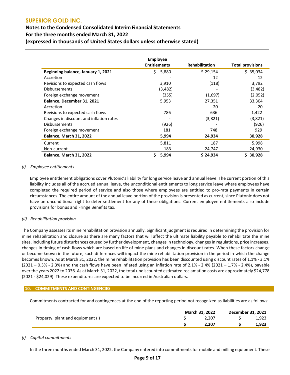## **Notes to the Condensed Consolidated Interim Financial Statements For the three months ended March 31, 2022 (expressed in thousands of United States dollars unless otherwise stated)**

|                                         | <b>Employee</b>     |                       |                         |
|-----------------------------------------|---------------------|-----------------------|-------------------------|
|                                         | <b>Entitlements</b> | <b>Rehabilitation</b> | <b>Total provisions</b> |
| Beginning balance, January 1, 2021      | Ś.<br>5,880         | \$29,154              | \$35,034                |
| Accretion                               |                     | 12                    | 12                      |
| Revisions to expected cash flows        | 3,910               | (118)                 | 3,792                   |
| <b>Disbursements</b>                    | (3,482)             |                       | (3,482)                 |
| Foreign exchange movement               | (355)               | (1,697)               | (2,052)                 |
| Balance, December 31, 2021              | 5,953               | 27,351                | 33,304                  |
| Accretion                               |                     | 20                    | 20                      |
| Revisions to expected cash flows        | 786                 | 636                   | 1,422                   |
| Changes in discount and inflation rates |                     | (3,821)               | (3,821)                 |
| <b>Disbursements</b>                    | (926)               |                       | (926)                   |
| Foreign exchange movement               | 181                 | 748                   | 929                     |
| <b>Balance, March 31, 2022</b>          | 5,994               | 24,934                | 30,928                  |
| Current                                 | 5,811               | 187                   | 5,998                   |
| Non-current                             | 183                 | 24,747                | 24,930                  |
| Balance, March 31, 2022                 | 5,994<br>\$         | \$24,934              | 30,928<br>S             |

## *(i) Employee entitlements*

Employee entitlement obligations cover Plutonic's liability for long service leave and annual leave. The current portion of this liability includes all of the accrued annual leave, the unconditional entitlements to long service leave where employees have completed the required period of service and also those where employees are entitled to pro-rata payments in certain circumstances. The entire amount of the annual leave portion of the provision is presented as current, since Plutonic does not have an unconditional right to defer settlement for any of these obligations. Current employee entitlements also include provisions for bonus and Fringe Benefits tax.

## *(ii) Rehabilitation provision*

The Company assesses its mine rehabilitation provision annually. Significant judgment is required in determining the provision for mine rehabilitation and closure as there are many factors that will affect the ultimate liability payable to rehabilitate the mine sites, including future disturbances caused by further development, changes in technology, changes in regulations, price increases, changes in timing of cash flows which are based on life of mine plans and changes in discount rates. When these factors change or become known in the future, such differences will impact the mine rehabilitation provision in the period in which the change becomes known. As at March 31, 2022, the mine rehabilitation provision has been discounted using discount rates of 1.1% - 3.1% (2021 – 0.3% - 2.3%) and the cash flows have been inflated using an inflation rate of 2.1% - 2.4% (2021 – 1.7% - 2.4%), payable over the years 2022 to 2036. As at March 31, 2022, the total undiscounted estimated reclamation costs are approximately \$24,778 (2021 - \$24,029). These expenditures are expected to be incurred in Australian dollars.

#### **10. COMMITMENTS AND CONTINGENCIES**

Commitments contracted for and contingences at the end of the reporting period not recognized as liabilities are as follows:

|                                   | <b>March 31, 2022</b> |       | December 31, 2021 |       |  |
|-----------------------------------|-----------------------|-------|-------------------|-------|--|
| Property, plant and equipment (i) |                       | 2.207 |                   | 1,923 |  |
|                                   |                       | 2.207 |                   | 1,923 |  |

#### *(i) Capital commitments*

In the three months ended March 31, 2022, the Company entered into commitments for mobile and milling equipment. These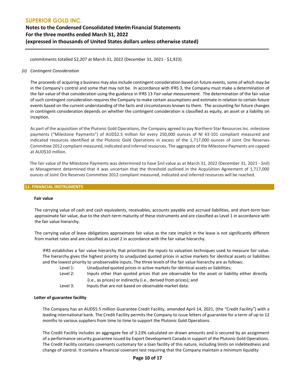## **SUPERIOR GOLD INC. Notes to the Condensed Consolidated Interim Financial Statements For the three months ended March 31, 2022 (expressed in thousands of United States dollars unless otherwise stated)**

commitments totalled \$2,207 at March 31, 2022 (December 31, 2021 - \$1,923).

## *(ii) Contingent Consideration*

The proceeds of acquiring a business may also include contingent consideration based on future events, some of which may be in the Company's control and some that may not be. In accordance with IFRS 3, the Company must make a determination of the fair value of that consideration using the guidance in IFRS 13 *Fair value measurement.* The determination of the fair value of such contingent consideration requires the Company to make certain assumptions and estimate in relation to certain future events based on the current understanding of the facts and circumstances known to them. The accounting for future changes in contingent consideration depends on whether the contingent consideration is classified as equity, an asset or a liability on inception.

As part of the acquisition of the Plutonic Gold Operations, the Company agreed to pay Northern Star Resources Inc. milestone payments ("Milestone Payments") of AUD\$2.5 million for every 250,000 ounces of NI 43-101 compliant measured and indicated resources identified at the Plutonic Gold Operations in excess of the 1,717,000 ounces of Joint Ore Reserves Committee 2012 compliant measured, indicated and inferred resources. The aggregate of the Milestone Payments are capped at AUD\$10 million.

The fair value of the Milestone Payments was determined to have \$nil value as at March 31, 2022 (December 31, 2021 - \$nil) as Management determined that it was uncertain that the threshold outlined in the Acquisition Agreement of 1,717,000 ounces of Joint Ore Reserves Committee 2012 compliant measured, indicated and inferred resources will be reached.**13.** 

#### **11. FINANCIAL INSTRUMENTS**

#### **Fair value**

The carrying value of cash and cash equivalents, receivables, accounts payable and accrued liabilities, and short-term loan approximate fair value, due to the short-term maturity of these instruments and are classified as Level 1 in accordance with the fair value hierarchy.

The carrying value of lease obligations approximate fair value as the rate implicit in the lease is not significantly different from market rates and are classified as Level 2 in accordance with the fair value hierarchy.

IFRS establishes a fair value hierarchy that prioritizes the inputs to valuation techniques used to measure fair value. The hierarchy gives the highest priority to unadjusted quoted prices in active markets for identical assets or liabilities and the lowest priority to unobservable inputs. The three levels of the fair value hierarchy are as follows:

- Level 1: Unadjusted quoted prices in active markets for identical assets or liabilities;
- Level 2: Inputs other than quoted prices that are observable for the asset or liability either directly (i.e., as prices) or indirectly (i.e., derived from prices); and
- Level 3: Inputs that are not based on observable market data.

#### **Letter of guarantee facility**

The Company has an AUD\$5.5 million Guarantee Credit Facility, amended April 14, 2021, (the "Credit Facility") with a leading international bank. The Credit Facility permits the Company to issue letters of guarantee for a term of up to 12 months to various suppliers from time to time to support the Plutonic Gold Operations.

The Credit Facility includes an aggregate fee of 3.23% calculated on drawn amounts and is secured by an assignment of a performance security guarantee issued by Export Development Canada in support of the Plutonic Gold Operations. The Credit Facility contains covenants customary for a loan facility of this nature, including limits on indebtedness and change of control. It contains a financial covenant test requiring that the Company maintain a minimum liquidity

#### **Page 10 of 17**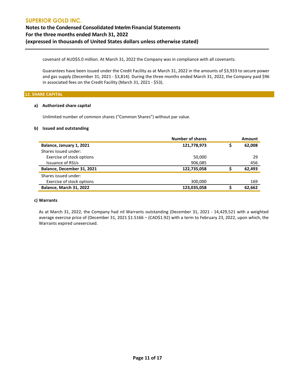**Notes to the Condensed Consolidated Interim Financial Statements For the three months ended March 31, 2022 (expressed in thousands of United States dollars unless otherwise stated)**

covenant of AUD\$5.0 million. At March 31, 2022 the Company was in compliance with all covenants.

Guarantees have been issued under the Credit Facility as at March 31, 2022 in the amounts of \$3,933 to secure power and gas supply (December 31, 2021 - \$3,814). During the three months ended March 31, 2022, the Company paid \$96 in associated fees on the Credit Facility (March 31, 2021 - \$53).

#### **12. SHARE CAPITAL**

#### **a) Authorized share capital**

Unlimited number of common shares ("Common Shares") without par value.

## **b) Issued and outstanding**

|                            | <b>Number of shares</b> | <b>Amount</b> |
|----------------------------|-------------------------|---------------|
| Balance, January 1, 2021   | 121,778,973             | 62,008        |
| Shares issued under:       |                         |               |
| Exercise of stock options  | 50,000                  | 29            |
| <b>Issuance of RSUs</b>    | 906,085                 | 456           |
| Balance, December 31, 2021 | 122,735,058             | 62,493        |
| Shares issued under:       |                         |               |
| Exercise of stock options  | 300,000                 | 169           |
| Balance, March 31, 2022    | 123,035,058             | 62,662        |

## **c) Warrants**

As at March 31, 2022, the Company had nil Warrants outstanding (December 31, 2021 - 14,429,521 with a weighted average exercise price of (December 31, 2021 \$1.5166 – (CAD\$1.92) with a term to February 23, 2022, upon which, the Warrants expired unexercised.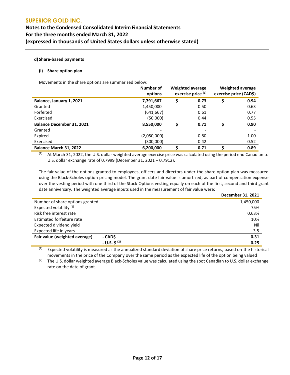## **Notes to the Condensed Consolidated Interim Financial Statements For the three months ended March 31, 2022 (expressed in thousands of United States dollars unless otherwise stated)**

## **d) Share-based payments**

#### **(i) Share option plan**

Movements in the share options are summarized below:

|                                  | Number of<br>options | <b>Weighted average</b><br>exercise price (1) |      | <b>Weighted average</b><br>exercise price (CAD\$) |
|----------------------------------|----------------------|-----------------------------------------------|------|---------------------------------------------------|
| Balance, January 1, 2021         | 7,791,667            | \$                                            | 0.73 | 0.94                                              |
| Granted                          | 1,450,000            |                                               | 0.50 | 0.63                                              |
| Forfeited                        | (641, 667)           |                                               | 0.61 | 0.77                                              |
| Exercised                        | (50,000)             |                                               | 0.44 | 0.55                                              |
| <b>Balance December 31, 2021</b> | 8,550,000            | Ś                                             | 0.71 | 0.90                                              |
| Granted                          |                      |                                               |      |                                                   |
| Expired                          | (2,050,000)          |                                               | 0.80 | 1.00                                              |
| Exercised                        | (300,000)            |                                               | 0.42 | 0.52                                              |
| Balance March 31, 2022           | 6,200,000            |                                               | 0.71 | 0.89                                              |

 $(1)$  At March 31, 2022, the U.S. dollar weighted average exercise price was calculated using the period end Canadian to U.S. dollar exchange rate of 0.7999 (December 31, 2021 – 0.7912).

The fair value of the options granted to employees, officers and directors under the share option plan was measured using the Black-Scholes option pricing model. The grant date fair value is amortized, as part of compensation expense over the vesting period with one third of the Stock Options vesting equally on each of the first, second and third grant date anniversary. The weighted average inputs used in the measurement of fair value were:

|                                         | December 31, 2021 |
|-----------------------------------------|-------------------|
| Number of share options granted         | 1,450,000         |
| Expected volatility <sup>(1)</sup>      | 75%               |
| Risk free interest rate                 | 0.63%             |
| Estimated forfeiture rate               | 10%               |
| Expected dividend yield                 | Nil               |
| Expected life in years                  | 3.5               |
| Fair value (weighted average)<br>- CADŚ | 0.31              |
| $- U.S. S^{(2)}$                        | 0.25              |

 $(1)$  Expected volatility is measured as the annualized standard deviation of share price returns, based on the historical movements in the price of the Company over the same period as the expected life of the option being valued.

<sup>(2)</sup> The U.S. dollar weighted average Black-Scholes value was calculated using the spot Canadian to U.S. dollar exchange rate on the date of grant.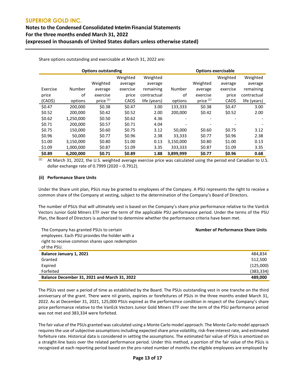## **Notes to the Condensed Consolidated Interim Financial Statements For the three months ended March 31, 2022 (expressed in thousands of United States dollars unless otherwise stated)**

Share options outstanding and exercisable at March 31, 2022 are:

| <b>Options outstanding</b> |           |                      |          | <b>Options exercisable</b> |           |                      |          |              |
|----------------------------|-----------|----------------------|----------|----------------------------|-----------|----------------------|----------|--------------|
|                            |           |                      | Weighted | Weighted                   |           |                      | Weighted | Weighted     |
|                            |           | Weighted             | average  | average                    |           | Weighted             | average  | average      |
| Exercise                   | Number    | average              | exercise | remaining                  | Number    | average              | exercise | remaining    |
| price                      | οf        | exercise             | price    | contractual                | οf        | exercise             | price    | contractual  |
| (CAD\$)                    | options   | price <sup>(1)</sup> | CAD\$    | life (years)               | options   | price <sup>(1)</sup> | CAD\$    | life (years) |
| \$0.47                     | 200,000   | \$0.38               | \$0.47   | 3.00                       | 133,333   | \$0.38               | \$0.47   | 3.00         |
| \$0.52                     | 200,000   | \$0.42               | \$0.52   | 2.00                       | 200,000   | \$0.42               | \$0.52   | 2.00         |
| \$0.62                     | 1,250,000 | \$0.50               | \$0.62   | 4.36                       |           |                      |          |              |
| \$0.71                     | 200.000   | \$0.57               | \$0.71   | 4.04                       | ٠         |                      |          |              |
| \$0.75                     | 150,000   | \$0.60               | \$0.75   | 3.12                       | 50,000    | \$0.60               | \$0.75   | 3.12         |
| \$0.96                     | 50.000    | \$0.77               | \$0.96   | 2.38                       | 33,333    | \$0.77               | \$0.96   | 2.38         |
| \$1.00                     | 3,150,000 | \$0.80               | \$1.00   | 0.13                       | 3,150,000 | \$0.80               | \$1.00   | 0.13         |
| \$1.09                     | 1,000,000 | \$0.87               | \$1.09   | 3.35                       | 333,333   | \$0.87               | \$1.09   | 3.35         |
| \$0.89                     | 6,200,000 | \$0.71               | \$0.89   | 1.88                       | 3,899,999 | \$0.77               | \$0.96   | 0.68         |

 $(1)$  At March 31, 2022, the U.S. weighted average exercise price was calculated using the period end Canadian to U.S. dollar exchange rate of 0.7999 (2020 – 0.7912).

#### **(ii) Performance Share Units**

Under the Share unit plan, PSUs may be granted to employees of the Company. A PSU represents the right to receive a common share of the Company at vesting, subject to the determination of the Company's Board of Directors.

The number of PSUs that will ultimately vest is based on the Company's share price performance relative to the VanEck Vectors Junior Gold Miners ETF over the term of the applicable PSU performance period. Under the terms of the PSU Plan, the Board of Directors is authorized to determine whether the performance criteria have been met.

| The Company has granted PSUs to certain<br>employees. Each PSU provides the holder with a<br>right to receive common shares upon redemption<br>of the PSU. | <b>Number of Performance Share Units</b> |
|------------------------------------------------------------------------------------------------------------------------------------------------------------|------------------------------------------|
| Balance January 1, 2021                                                                                                                                    | 484.834                                  |
| Granted                                                                                                                                                    | 512,500                                  |
| Expired                                                                                                                                                    | (125,000)                                |
| Forfeited                                                                                                                                                  | (383, 334)                               |
| Balance December 31, 2021 and March 31, 2022                                                                                                               | 489.000                                  |

The PSUs vest over a period of time as established by the Board. The PSUs outstanding vest in one tranche on the third anniversary of the grant. There were nil grants, expiries or forefeitures of PSUs in the three months ended March 31, 2022. As at December 31, 2021, 125,000 PSUs expired as the performance condition in respect of the Company's share price performance relative to the VanEck Vectors Junior Gold Miners ETF over the term of the PSU performance period was not met and 383,334 were forfeited.

The fair value of the PSUs granted was calculated using a Monte Carlo model approach. The Monte Carlo model approach requires the use of subjective assumptions including expected share price volatility, risk-free interest rate, and estimated forfeiture rate. Historical data is considered in setting the assumptions. The estimated fair value of PSUs is amortized on a straight-line basis over the related performance period. Under this method, a portion of the fair value of the PSUs is recognized at each reporting period based on the pro-rated number of months the eligible employees are employed by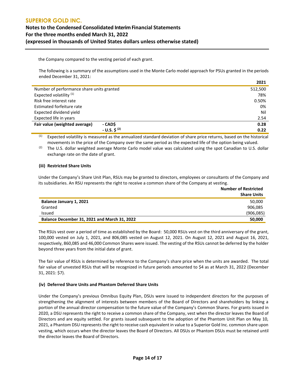## **SUPERIOR GOLD INC. Notes to the Condensed Consolidated Interim Financial Statements For the three months ended March 31, 2022 (expressed in thousands of United States dollars unless otherwise stated)**

the Company compared to the vesting period of each grant.

The following is a summary of the assumptions used in the Monte Carlo model approach for PSUs granted in the periods ended December 31, 2021:

**2021**

|                                           | 2021    |
|-------------------------------------------|---------|
| Number of performance share units granted | 512,500 |
| Expected volatility <sup>(1)</sup>        | 78%     |
| Risk free interest rate                   | 0.50%   |
| Estimated forfeiture rate                 | 0%      |
| Expected dividend yield                   | Nil     |
| Expected life in years                    | 2.54    |
| - CADŚ<br>Fair value (weighted average)   | 0.28    |
| $- U.S. \, \xi^{(2)}$                     | 0.22    |

(1) Expected volatility is measured as the annualized standard deviation of share price returns, based on the historical movements in the price of the Company over the same period as the expected life of the option being valued.

<sup>(2)</sup> The U.S. dollar weighted average Monte Carlo model value was calculated using the spot Canadian to U.S. dollar exchange rate on the date of grant.

## **(iii) Restricted Share Units**

Under the Company's Share Unit Plan, RSUs may be granted to directors, employees or consultants of the Company and its subsidiaries. An RSU represents the right to receive a common share of the Company at vesting.

|                                                     | <b>Number of Restricted</b><br><b>Share Units</b> |
|-----------------------------------------------------|---------------------------------------------------|
| Balance January 1, 2021                             | 50,000                                            |
| Granted                                             | 906,085                                           |
| Issued                                              | (906, 085)                                        |
| <b>Balance December 31, 2021 and March 31, 2022</b> | 50,000                                            |

The RSUs vest over a period of time as established by the Board: 50,000 RSUs vest on the third anniversary of the grant, 100,000 vested on July 1, 2021, and 806,085 vested on August 12, 2021. On August 12, 2021 and August 16, 2021, respectively, 860,085 and 46,000 Common Shares were issued. The vesting of the RSUs cannot be deferred by the holder beyond three years from the initial date of grant.

The fair value of RSUs is determined by reference to the Company's share price when the units are awarded. The total fair value of unvested RSUs that will be recognized in future periods amounted to \$4 as at March 31, 2022 (December 31, 2021: \$7).

#### **(iv) Deferred Share Units and Phantom Deferred Share Units**

Under the Company's previous Omnibus Equity Plan, DSUs were issued to independent directors for the purposes of strengthening the alignment of interests between members of the Board of Directors and shareholders by linking a portion of the annual director compensation to the future value of the Company's Common Shares. For grants issued in 2020, a DSU represents the right to receive a common share of the Company, vest when the director leaves the Board of Directors and are equity settled. For grants issued subsequent to the adoption of the Phantom Unit Plan on May 10, 2021, a Phantom DSU represents the right to receive cash equivalent in value to a Superior Gold Inc. common share upon vesting, which occurs when the director leaves the Board of Directors. All DSUs or Phantom DSUs must be retained until the director leaves the Board of Directors.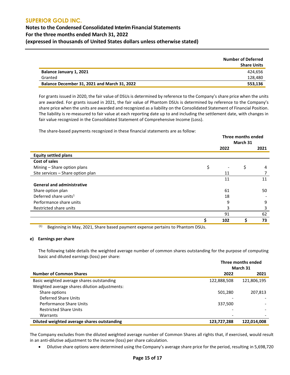## **Notes to the Condensed Consolidated Interim Financial Statements For the three months ended March 31, 2022 (expressed in thousands of United States dollars unless otherwise stated)**

|                                              | <b>Number of Deferred</b><br><b>Share Units</b> |
|----------------------------------------------|-------------------------------------------------|
| Balance January 1, 2021                      | 424.656                                         |
| Granted                                      | 128,480                                         |
| Balance December 31, 2021 and March 31, 2022 | 553,136                                         |

For grants issued in 2020, the fair value of DSUs is determined by reference to the Company's share price when the units are awarded. For grants issued in 2021, the fair value of Phantom DSUs is determined by reference to the Company's share price when the units are awarded and recognized as a liability on the Consolidated Statement of Financial Position. The liability is re-measured to fair value at each reporting date up to and including the settlement date, with changes in fair value recognized in the Consolidated Statement of Comprehensive Income (Loss).

The share-based payments recognized in these financial statements are as follow:

|                                   | Three months ended<br>March 31 |    |      |
|-----------------------------------|--------------------------------|----|------|
|                                   | 2022                           |    | 2021 |
| <b>Equity settled plans</b>       |                                |    |      |
| Cost of sales                     |                                |    |      |
| Mining - Share option plans       | \$                             | \$ | 4    |
| Site services - Share option plan | 11                             |    |      |
|                                   | 11                             |    | 11   |
| <b>General and administrative</b> |                                |    |      |
| Share option plan                 | 61                             |    | 50   |
| Deferred share units <sup>1</sup> | 18                             |    |      |
| Performance share units           | 9                              |    | 9    |
| Restricted share units            | 3                              |    | 3    |
|                                   | 91                             |    | 62   |
|                                   | \$<br>102                      | Ś  | 73   |

 $(1)$  Beginning in May, 2021, Share based payment expense pertains to Phantom DSUs.

#### **e) Earnings per share**

The following table details the weighted average number of common shares outstanding for the purpose of computing basic and diluted earnings (loss) per share:

|                                               | Three months ended |             |  |
|-----------------------------------------------|--------------------|-------------|--|
|                                               |                    | March 31    |  |
| <b>Number of Common Shares</b>                | 2022               | 2021        |  |
| Basic weighted average shares outstanding     | 122,888,508        | 121,806,195 |  |
| Weighted average shares dilution adjustments: |                    |             |  |
| Share options                                 | 501,280            | 207,813     |  |
| Deferred Share Units                          |                    |             |  |
| Performance Share Units                       | 337,500            |             |  |
| <b>Restricted Share Units</b>                 |                    |             |  |
| Warrants                                      | -                  |             |  |
| Diluted weighted average shares outstanding   | 123,727,288        | 122,014,008 |  |

The Company excludes from the diluted weighted average number of Common Shares all rights that, if exercised, would result in an anti-dilutive adjustment to the income (loss) per share calculation.

• Dilutive share options were determined using the Company's average share price for the period, resulting in 5,698,720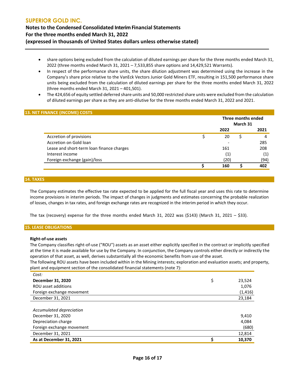**Notes to the Condensed Consolidated Interim Financial Statements For the three months ended March 31, 2022 (expressed in thousands of United States dollars unless otherwise stated)**

- share options being excluded from the calculation of diluted earnings per share for the three months ended March 31, 2022 (three months ended March 31, 2021 – 7,533,855 share options and 14,429,521 Warrants).
- In respect of the performance share units, the share dilution adjustment was determined using the increase in the Company's share price relative to the VanEck Vectors Junior Gold Miners ETF, resulting in 151,500 performance share units being excluded from the calculation of diluted earnings per share for the three months ended March 31, 2022 (three months ended March 31, 2021 – 401,501).
- The 424,656 of equity settled deferred share units and 50,000 restricted share units were excluded from the calculation of diluted earnings per share as they are anti-dilutive for the three months ended March 31, 2022 and 2021.

#### **13. NET FINANCE (INCOME) COSTS**

|                                           | Three months ended<br>March 31 |  |      |
|-------------------------------------------|--------------------------------|--|------|
|                                           | 2022                           |  | 2021 |
| Accretion of provisions                   | 20                             |  | 4    |
| Accretion on Gold loan                    |                                |  | 285  |
| Lease and short-term loan finance charges | 161                            |  | 208  |
| Interest income                           | (1)                            |  | (1)  |
| Foreign exchange (gain)/loss              | (20)                           |  | (94) |
|                                           | 160                            |  | 402  |

## **14. TAXES**

The Company estimates the effective tax rate expected to be applied for the full fiscal year and uses this rate to determine income provisions in interim periods. The impact of changes in judgments and estimates concerning the probable realization of losses, changes in tax rates, and foreign exchange rates are recognized in the interim period in which they occur.

The tax (recovery) expense for the three months ended March 31, 2022 was (\$143) (March 31, 2021 – \$33).

#### **15. LEASE OBLIGATIONS**

#### **Right-of-use assets**

The Company classifies right-of-use ("ROU") assets as an asset either explicitly specified in the contract or implicitly specified at the time it is made available for use by the Company. In conjunction, the Company controls either directly or indirectly the operation of that asset, as well, derives substantially all the economic benefits from use of the asset.

The following ROU assets have been included within in the Mining interests; exploration and evaluation assets; and property, plant and equipment section of the consolidated financial statements (note 7):

| Cost:                     |    |          |
|---------------------------|----|----------|
| December 31, 2020         | \$ | 23,524   |
| ROU asset additions       |    | 1,076    |
| Foreign exchange movement |    | (1, 416) |
| December 31, 2021         |    | 23,184   |
|                           |    |          |
| Accumulated depreciation  |    |          |
| December 31, 2020         |    | 9,410    |
| Depreciation charge       |    | 4,084    |
| Foreign exchange movement |    | (680)    |
| December 31, 2021         |    | 12,814   |
| As at December 31, 2021   | Ś  | 10,370   |